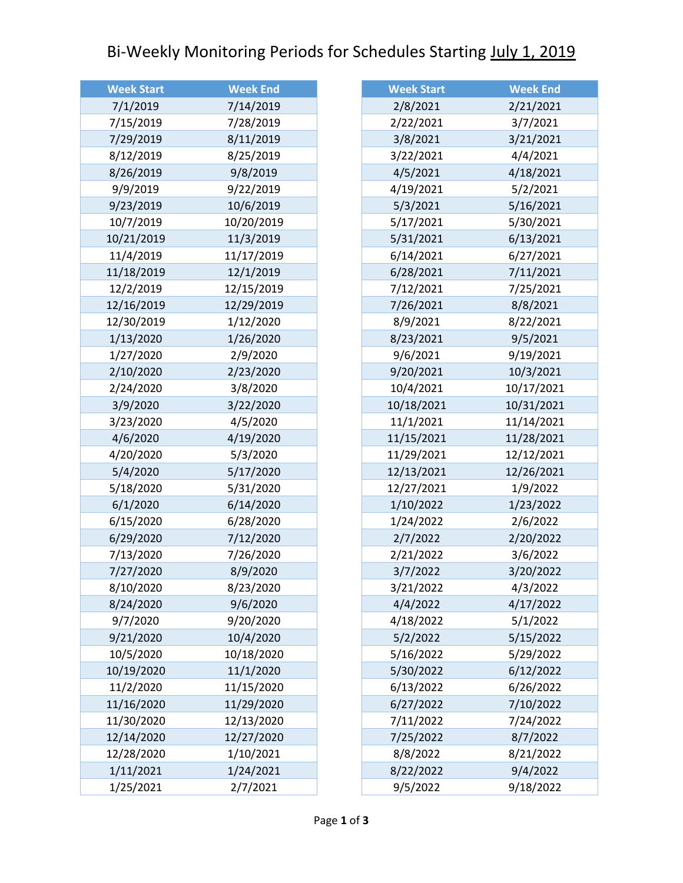## Bi-Weekly Monitoring Periods for Schedules Starting July 1, 2019

| <b>Week Start</b> | <b>Week End</b> |
|-------------------|-----------------|
| 7/1/2019          | 7/14/2019       |
| 7/15/2019         | 7/28/2019       |
| 7/29/2019         | 8/11/2019       |
| 8/12/2019         | 8/25/2019       |
| 8/26/2019         | 9/8/2019        |
| 9/9/2019          | 9/22/2019       |
| 9/23/2019         | 10/6/2019       |
| 10/7/2019         | 10/20/2019      |
| 10/21/2019        | 11/3/2019       |
| 11/4/2019         | 11/17/2019      |
| 11/18/2019        | 12/1/2019       |
| 12/2/2019         | 12/15/2019      |
| 12/16/2019        | 12/29/2019      |
| 12/30/2019        | 1/12/2020       |
| 1/13/2020         | 1/26/2020       |
| 1/27/2020         | 2/9/2020        |
| 2/10/2020         | 2/23/2020       |
| 2/24/2020         | 3/8/2020        |
| 3/9/2020          | 3/22/2020       |
| 3/23/2020         | 4/5/2020        |
| 4/6/2020          | 4/19/2020       |
| 4/20/2020         | 5/3/2020        |
| 5/4/2020          | 5/17/2020       |
| 5/18/2020         | 5/31/2020       |
| 6/1/2020          | 6/14/2020       |
| 6/15/2020         | 6/28/2020       |
| 6/29/2020         | 7/12/2020       |
| 7/13/2020         | 7/26/2020       |
| 7/27/2020         | 8/9/2020        |
| 8/10/2020         | 8/23/2020       |
| 8/24/2020         | 9/6/2020        |
| 9/7/2020          | 9/20/2020       |
| 9/21/2020         | 10/4/2020       |
| 10/5/2020         | 10/18/2020      |
| 10/19/2020        | 11/1/2020       |
| 11/2/2020         | 11/15/2020      |
| 11/16/2020        | 11/29/2020      |
| 11/30/2020        | 12/13/2020      |
| 12/14/2020        | 12/27/2020      |
| 12/28/2020        | 1/10/2021       |
| 1/11/2021         | 1/24/2021       |
| 1/25/2021         | 2/7/2021        |

| <b>Week Start</b> | <b>Week End</b> |
|-------------------|-----------------|
| 2/8/2021          | 2/21/2021       |
| 2/22/2021         | 3/7/2021        |
| 3/8/2021          | 3/21/2021       |
| 3/22/2021         | 4/4/2021        |
| 4/5/2021          | 4/18/2021       |
| 4/19/2021         | 5/2/2021        |
| 5/3/2021          | 5/16/2021       |
| 5/17/2021         | 5/30/2021       |
| 5/31/2021         | 6/13/2021       |
| 6/14/2021         | 6/27/2021       |
| 6/28/2021         | 7/11/2021       |
| 7/12/2021         | 7/25/2021       |
| 7/26/2021         | 8/8/2021        |
| 8/9/2021          | 8/22/2021       |
| 8/23/2021         | 9/5/2021        |
| 9/6/2021          | 9/19/2021       |
| 9/20/2021         | 10/3/2021       |
| 10/4/2021         | 10/17/2021      |
| 10/18/2021        | 10/31/2021      |
| 11/1/2021         | 11/14/2021      |
| 11/15/2021        | 11/28/2021      |
| 11/29/2021        | 12/12/2021      |
| 12/13/2021        | 12/26/2021      |
| 12/27/2021        | 1/9/2022        |
| 1/10/2022         | 1/23/2022       |
| 1/24/2022         | 2/6/2022        |
| 2/7/2022          | 2/20/2022       |
| 2/21/2022         | 3/6/2022        |
| 3/7/2022          | 3/20/2022       |
| 3/21/2022         | 4/3/2022        |
| 4/4/2022          | 4/17/2022       |
| 4/18/2022         | 5/1/2022        |
| 5/2/2022          | 5/15/2022       |
| 5/16/2022         | 5/29/2022       |
| 5/30/2022         | 6/12/2022       |
| 6/13/2022         | 6/26/2022       |
| 6/27/2022         | 7/10/2022       |
| 7/11/2022         | 7/24/2022       |
| 7/25/2022         | 8/7/2022        |
| 8/8/2022          | 8/21/2022       |
| 8/22/2022         | 9/4/2022        |
| 9/5/2022          | 9/18/2022       |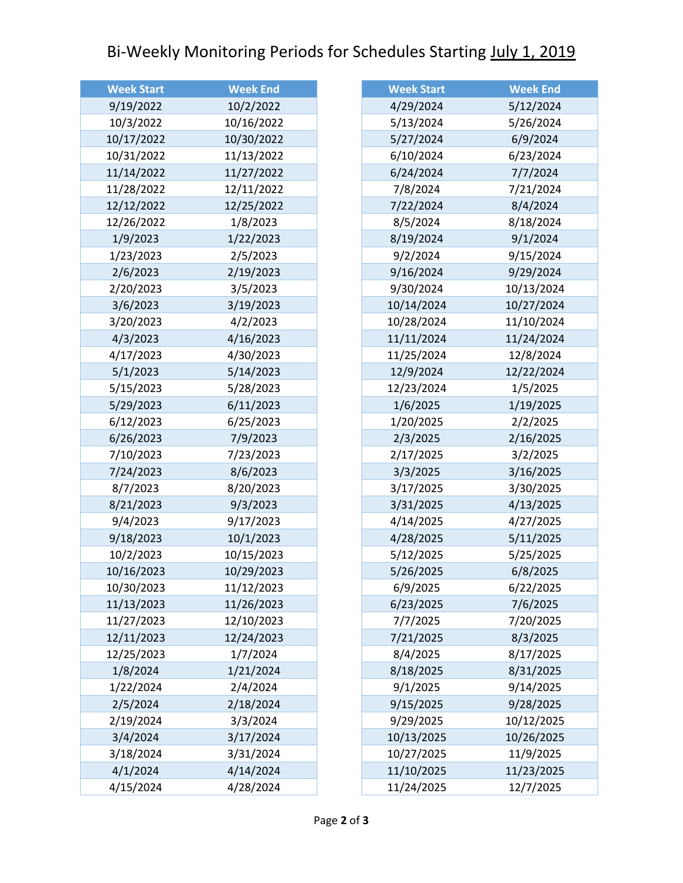## Bi-Weekly Monitoring Periods for Schedules Starting July 1, 2019

| <b>Week Start</b> | <b>Week End</b> |
|-------------------|-----------------|
| 9/19/2022         | 10/2/2022       |
| 10/3/2022         | 10/16/2022      |
| 10/17/2022        | 10/30/2022      |
| 10/31/2022        | 11/13/2022      |
| 11/14/2022        | 11/27/2022      |
| 11/28/2022        | 12/11/2022      |
| 12/12/2022        | 12/25/2022      |
| 12/26/2022        | 1/8/2023        |
| 1/9/2023          | 1/22/2023       |
| 1/23/2023         | 2/5/2023        |
| 2/6/2023          | 2/19/2023       |
| 2/20/2023         | 3/5/2023        |
| 3/6/2023          | 3/19/2023       |
| 3/20/2023         | 4/2/2023        |
| 4/3/2023          | 4/16/2023       |
| 4/17/2023         | 4/30/2023       |
| 5/1/2023          | 5/14/2023       |
| 5/15/2023         | 5/28/2023       |
| 5/29/2023         | 6/11/2023       |
| 6/12/2023         | 6/25/2023       |
| 6/26/2023         | 7/9/2023        |
| 7/10/2023         | 7/23/2023       |
| 7/24/2023         | 8/6/2023        |
| 8/7/2023          | 8/20/2023       |
| 8/21/2023         | 9/3/2023        |
| 9/4/2023          | 9/17/2023       |
| 9/18/2023         | 10/1/2023       |
| 10/2/2023         | 10/15/2023      |
| 10/16/2023        | 10/29/2023      |
| 10/30/2023        | 11/12/2023      |
| 11/13/2023        | 11/26/2023      |
| 11/27/2023        | 12/10/2023      |
| 12/11/2023        | 12/24/2023      |
| 12/25/2023        | 1/7/2024        |
| 1/8/2024          | 1/21/2024       |
| 1/22/2024         | 2/4/2024        |
| 2/5/2024          | 2/18/2024       |
| 2/19/2024         | 3/3/2024        |
| 3/4/2024          | 3/17/2024       |
| 3/18/2024         | 3/31/2024       |
| 4/1/2024          | 4/14/2024       |
| 4/15/2024         | 4/28/2024       |

| <b>Week Start</b> | <b>Week End</b> |
|-------------------|-----------------|
| 4/29/2024         | 5/12/2024       |
| 5/13/2024         | 5/26/2024       |
| 5/27/2024         | 6/9/2024        |
| 6/10/2024         | 6/23/2024       |
| 6/24/2024         | 7/7/2024        |
| 7/8/2024          | 7/21/2024       |
| 7/22/2024         | 8/4/2024        |
| 8/5/2024          | 8/18/2024       |
| 8/19/2024         | 9/1/2024        |
| 9/2/2024          | 9/15/2024       |
| 9/16/2024         | 9/29/2024       |
| 9/30/2024         | 10/13/2024      |
| 10/14/2024        | 10/27/2024      |
| 10/28/2024        | 11/10/2024      |
| 11/11/2024        | 11/24/2024      |
| 11/25/2024        | 12/8/2024       |
| 12/9/2024         | 12/22/2024      |
| 12/23/2024        | 1/5/2025        |
| 1/6/2025          | 1/19/2025       |
| 1/20/2025         | 2/2/2025        |
| 2/3/2025          | 2/16/2025       |
| 2/17/2025         | 3/2/2025        |
| 3/3/2025          | 3/16/2025       |
| 3/17/2025         | 3/30/2025       |
| 3/31/2025         | 4/13/2025       |
| 4/14/2025         | 4/27/2025       |
| 4/28/2025         | 5/11/2025       |
| 5/12/2025         | 5/25/2025       |
| 5/26/2025         | 6/8/2025        |
| 6/9/2025          | 6/22/2025       |
| 6/23/2025         | 7/6/2025        |
| 7/7/2025          | 7/20/2025       |
| 7/21/2025         | 8/3/2025        |
| 8/4/2025          | 8/17/2025       |
| 8/18/2025         | 8/31/2025       |
| 9/1/2025          | 9/14/2025       |
| 9/15/2025         | 9/28/2025       |
| 9/29/2025         | 10/12/2025      |
| 10/13/2025        | 10/26/2025      |
| 10/27/2025        | 11/9/2025       |
| 11/10/2025        | 11/23/2025      |
| 11/24/2025        | 12/7/2025       |